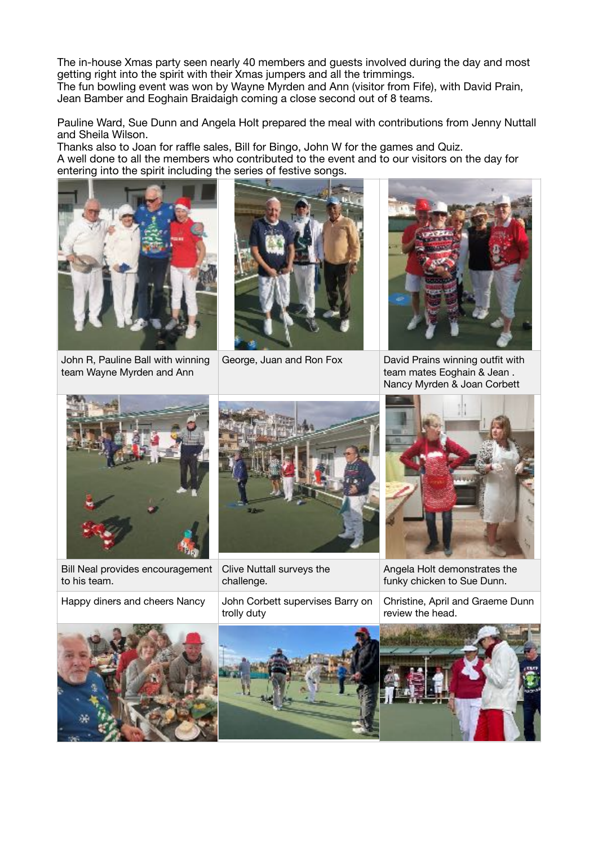The in-house Xmas party seen nearly 40 members and guests involved during the day and most getting right into the spirit with their Xmas jumpers and all the trimmings.

The fun bowling event was won by Wayne Myrden and Ann (visitor from Fife), with David Prain, Jean Bamber and Eoghain Braidaigh coming a close second out of 8 teams.

Pauline Ward, Sue Dunn and Angela Holt prepared the meal with contributions from Jenny Nuttall and Sheila Wilson.

Thanks also to Joan for raffle sales, Bill for Bingo, John W for the games and Quiz. A well done to all the members who contributed to the event and to our visitors on the day for entering into the spirit including the series of festive songs.



John R, Pauline Ball with winning team Wayne Myrden and Ann





George, Juan and Ron Fox David Prains winning outfit with team mates Eoghain & Jean . Nancy Myrden & Joan Corbett



Bill Neal provides encouragement to his team.



Clive Nuttall surveys the challenge.

Happy diners and cheers Nancy John Corbett supervises Barry on trolly duty



Angela Holt demonstrates the funky chicken to Sue Dunn.

Christine, April and Graeme Dunn review the head.